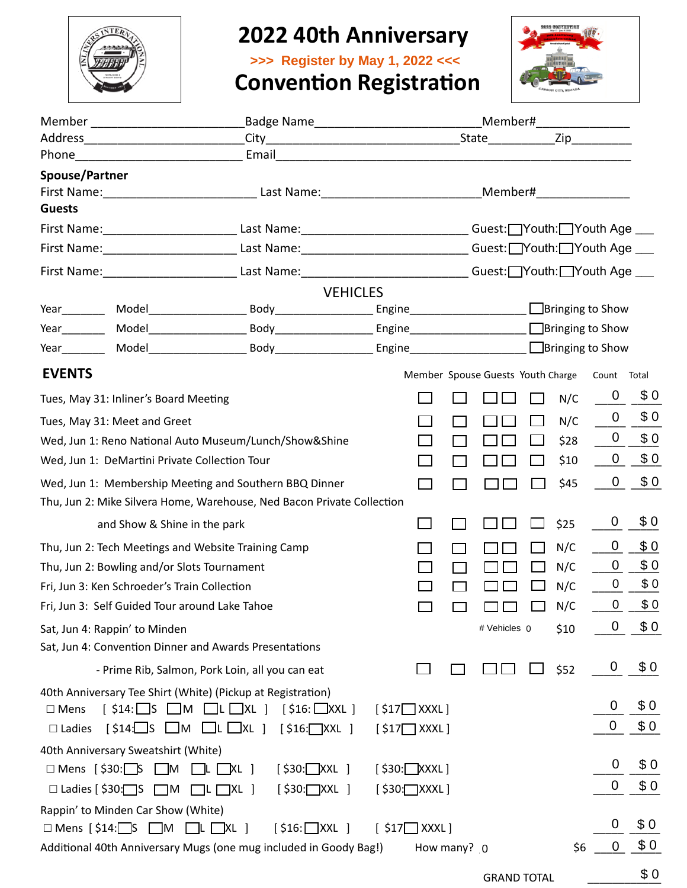

# **2022 40th Anniversary**



|                                               |                                                             |                      | >>> Register by May 1, 2022 <<<                                                                                                                                                                                                     |                                                                                                                  |  |             |                                   |  |      |                          |       |
|-----------------------------------------------|-------------------------------------------------------------|----------------------|-------------------------------------------------------------------------------------------------------------------------------------------------------------------------------------------------------------------------------------|------------------------------------------------------------------------------------------------------------------|--|-------------|-----------------------------------|--|------|--------------------------|-------|
|                                               |                                                             |                      | <b>Convention Registration</b>                                                                                                                                                                                                      |                                                                                                                  |  |             |                                   |  |      |                          |       |
|                                               |                                                             |                      |                                                                                                                                                                                                                                     |                                                                                                                  |  |             |                                   |  |      |                          |       |
|                                               |                                                             |                      |                                                                                                                                                                                                                                     |                                                                                                                  |  |             |                                   |  |      |                          |       |
|                                               | Phone <u>_________________________________</u>              |                      | Email <u>Communication</u> Communication and Communication and Communication and Communication and Communication and Communication and Communication and Communication and Communication and Communication and Communication and Co |                                                                                                                  |  |             |                                   |  |      |                          |       |
| Spouse/Partner                                |                                                             |                      |                                                                                                                                                                                                                                     |                                                                                                                  |  |             |                                   |  |      |                          |       |
|                                               |                                                             |                      |                                                                                                                                                                                                                                     |                                                                                                                  |  |             |                                   |  |      |                          |       |
| <b>Guests</b>                                 |                                                             |                      |                                                                                                                                                                                                                                     |                                                                                                                  |  |             |                                   |  |      |                          |       |
|                                               |                                                             |                      | First Name: ____________________________Last Name: ______________________________Guest: __Youth: __Youth Age ___                                                                                                                    |                                                                                                                  |  |             |                                   |  |      |                          |       |
|                                               |                                                             |                      |                                                                                                                                                                                                                                     | First Name: ____________________________Last Name: ______________________________Guest: __Youth: __Youth Age ___ |  |             |                                   |  |      |                          |       |
|                                               |                                                             |                      | First Name:___________________________Last Name:____________________________Guest:__Youth:__Youth Age ____                                                                                                                          |                                                                                                                  |  |             |                                   |  |      |                          |       |
|                                               |                                                             |                      | <b>VEHICLES</b>                                                                                                                                                                                                                     |                                                                                                                  |  |             |                                   |  |      |                          |       |
|                                               |                                                             |                      |                                                                                                                                                                                                                                     |                                                                                                                  |  |             |                                   |  |      |                          |       |
|                                               |                                                             |                      |                                                                                                                                                                                                                                     |                                                                                                                  |  |             |                                   |  |      |                          |       |
|                                               |                                                             |                      |                                                                                                                                                                                                                                     |                                                                                                                  |  |             |                                   |  |      |                          |       |
| <b>EVENTS</b>                                 |                                                             |                      |                                                                                                                                                                                                                                     |                                                                                                                  |  |             | Member Spouse Guests Youth Charge |  |      | Count                    | Total |
|                                               | Tues, May 31: Inliner's Board Meeting                       |                      |                                                                                                                                                                                                                                     |                                                                                                                  |  |             |                                   |  | N/C  | $\overline{0}$           | \$0   |
|                                               | Tues, May 31: Meet and Greet                                |                      |                                                                                                                                                                                                                                     |                                                                                                                  |  |             |                                   |  | N/C  | $\overline{0}$           | \$0   |
|                                               | Wed, Jun 1: Reno National Auto Museum/Lunch/Show&Shine      |                      |                                                                                                                                                                                                                                     |                                                                                                                  |  |             |                                   |  | \$28 | $\overline{0}$           | \$0   |
| Wed, Jun 1: DeMartini Private Collection Tour |                                                             |                      |                                                                                                                                                                                                                                     |                                                                                                                  |  |             |                                   |  | \$10 | $\overline{0}$           | \$0   |
|                                               | Wed, Jun 1: Membership Meeting and Southern BBQ Dinner      |                      |                                                                                                                                                                                                                                     |                                                                                                                  |  |             |                                   |  | \$45 | $\overline{0}$           | \$0   |
|                                               |                                                             |                      | Thu, Jun 2: Mike Silvera Home, Warehouse, Ned Bacon Private Collection                                                                                                                                                              |                                                                                                                  |  |             |                                   |  |      |                          |       |
|                                               | and Show & Shine in the park                                |                      |                                                                                                                                                                                                                                     |                                                                                                                  |  |             |                                   |  | \$25 | $\overline{0}$           | \$0   |
|                                               | Thu, Jun 2: Tech Meetings and Website Training Camp         |                      |                                                                                                                                                                                                                                     |                                                                                                                  |  |             |                                   |  | N/C  | $\overline{\phantom{0}}$ | \$0   |
| Thu, Jun 2: Bowling and/or Slots Tournament   |                                                             |                      |                                                                                                                                                                                                                                     |                                                                                                                  |  |             |                                   |  | N/C  | 0                        | \$0   |
| Fri, Jun 3: Ken Schroeder's Train Collection  |                                                             |                      |                                                                                                                                                                                                                                     |                                                                                                                  |  |             |                                   |  | N/C  | $\mathbf 0$              | \$0   |
|                                               | Fri, Jun 3: Self Guided Tour around Lake Tahoe              |                      |                                                                                                                                                                                                                                     |                                                                                                                  |  |             |                                   |  | N/C  | 0                        | \$0   |
|                                               | Sat, Jun 4: Rappin' to Minden                               |                      |                                                                                                                                                                                                                                     |                                                                                                                  |  |             | # Vehicles 0                      |  | \$10 | $\mathbf 0$              | \$0   |
|                                               | Sat, Jun 4: Convention Dinner and Awards Presentations      |                      |                                                                                                                                                                                                                                     |                                                                                                                  |  |             |                                   |  |      |                          |       |
|                                               | - Prime Rib, Salmon, Pork Loin, all you can eat             |                      |                                                                                                                                                                                                                                     |                                                                                                                  |  |             |                                   |  | \$52 | $\overline{0}$           | \$0   |
|                                               | 40th Anniversary Tee Shirt (White) (Pickup at Registration) |                      |                                                                                                                                                                                                                                     |                                                                                                                  |  |             |                                   |  |      |                          |       |
| $\square$ Mens                                | $[ $14: \square S \square M \square L \square XL ]$         |                      | $[ $16:$ XXL ]                                                                                                                                                                                                                      | $[ $17]$ XXXL]                                                                                                   |  |             |                                   |  |      | 0                        | \$0   |
| $\Box$ Ladies                                 | $\lbrack $14:\]$ S $\Box M$ $\Box L$ $\Box XL$ ]            |                      | $[ $16:\square$ XXL ]                                                                                                                                                                                                               | $[ $17]$ XXXL]                                                                                                   |  |             |                                   |  |      | 0                        | \$0   |
|                                               | 40th Anniversary Sweatshirt (White)                         |                      |                                                                                                                                                                                                                                     |                                                                                                                  |  |             |                                   |  |      |                          |       |
|                                               | $\Box$ Mens [\$30: $\Box$ S $\Box$ M                        | $\Box L$ $\Box$ XL ] | $[$ \$30: $\Box$ XXL ]                                                                                                                                                                                                              | $[$ \$30: $\Box$ XXXL]                                                                                           |  |             |                                   |  |      | 0                        | \$0   |
| $\Box$ Ladies [ \$30: $\Box$ S                | $\square$ M                                                 | $\Box L \Box XL$ ]   | $[ $30:$ XXL ]                                                                                                                                                                                                                      | $[$ \$30: $\Box$ XXXL]                                                                                           |  |             |                                   |  |      | 0                        | \$0   |
|                                               | Rappin' to Minden Car Show (White)                          |                      |                                                                                                                                                                                                                                     |                                                                                                                  |  |             |                                   |  |      |                          |       |
|                                               | $\Box$ Mens [\$14: $\Box$ S $\Box$ M $\Box$ L $\Box$ XL ]   |                      | $[ $16:$ XXL ]                                                                                                                                                                                                                      | $[$ \$17 $\Box$ XXXL]                                                                                            |  |             |                                   |  |      | 0                        | \$0   |
|                                               |                                                             |                      | Additional 40th Anniversary Mugs (one mug included in Goody Bag!)                                                                                                                                                                   |                                                                                                                  |  | How many? 0 |                                   |  | \$6  | $\mathbf 0$              | \$0   |
|                                               |                                                             |                      |                                                                                                                                                                                                                                     |                                                                                                                  |  |             | <b>GRAND TOTAL</b>                |  |      |                          | \$0   |